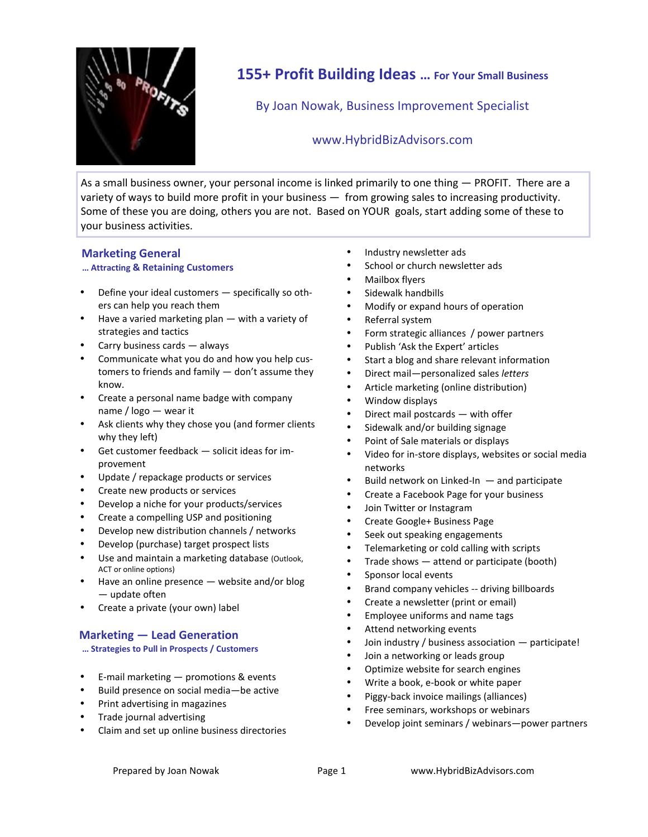

# **155+ Profit Building Ideas … For Your Small Business**

By Joan Nowak, Business Improvement Specialist

# www.HybridBizAdvisors.com

As a small business owner, your personal income is linked primarily to one thing — PROFIT. There are a variety of ways to build more profit in your business — from growing sales to increasing productivity. Some of these you are doing, others you are not. Based on YOUR goals, start adding some of these to your business activities.

# **Marketing General**

## **… Attracting & Retaining Customers**

- Define your ideal customers specifically so others can help you reach them
- Have a varied marketing plan with a variety of strategies and tactics
- Carry business cards always
- Communicate what you do and how you help customers to friends and family — don't assume they  $\bullet$ know.
- Create a personal name badge with company name / logo — wear it
- Ask clients why they chose you (and former clients why they left)
- Get customer feedback solicit ideas for improvement
- Update / repackage products or services
- Create new products or services
- Develop a niche for your products/services
- Create a compelling USP and positioning
- Develop new distribution channels / networks
- Develop (purchase) target prospect lists
- Use and maintain a marketing database (Outlook, ACT or online options)
- Have an online presence website and/or blog — update often
- Create a private (your own) label

## **Marketing — Lead Generation**

**… Strategies to Pull in Prospects / Customers**

- E-mail marketing promotions & events
- Build presence on social media—be active
- Print advertising in magazines
- Trade journal advertising
- Claim and set up online business directories
- Industry newsletter ads
- School or church newsletter ads
- Mailbox flyers
- Sidewalk handbills
- Modify or expand hours of operation
- Referral system
- Form strategic alliances / power partners
- Publish 'Ask the Expert' articles
- Start a blog and share relevant information
- Direct mail—personalized sales *letters*
- Article marketing (online distribution)
- Window displays
- Direct mail postcards with offer
- Sidewalk and/or building signage
- Point of Sale materials or displays
- Video for in-store displays, websites or social media networks
- Build network on Linked-In and participate
- Create a Facebook Page for your business
- Join Twitter or Instagram
- Create Google+ Business Page
- Seek out speaking engagements
- Telemarketing or cold calling with scripts
- Trade shows attend or participate (booth)
- Sponsor local events
- Brand company vehicles -- driving billboards
- Create a newsletter (print or email)
- Employee uniforms and name tags
- Attend networking events
- Join industry / business association participate!
- Join a networking or leads group
- Optimize website for search engines
- Write a book, e-book or white paper
- Piggy-back invoice mailings (alliances)
- Free seminars, workshops or webinars
- Develop joint seminars / webinars—power partners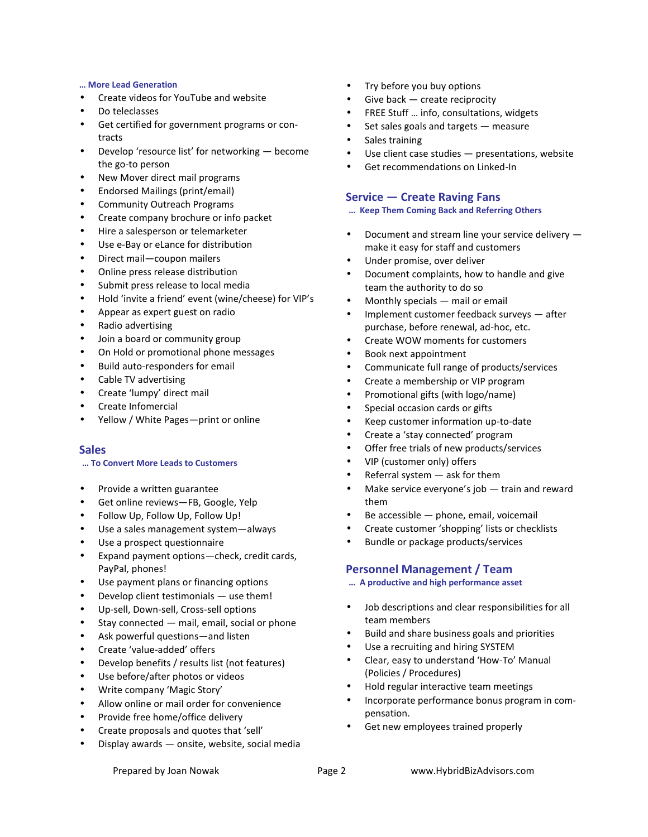#### **… More Lead Generation**

- Create videos for YouTube and website
- Do teleclasses
- Get certified for government programs or contracts
- Develop 'resource list' for networking become the go-to person
- New Mover direct mail programs
- Endorsed Mailings (print/email)
- Community Outreach Programs
- Create company brochure or info packet
- Hire a salesperson or telemarketer
- Use e-Bay or eLance for distribution
- Direct mail—coupon mailers
- Online press release distribution
- Submit press release to local media
- Hold 'invite a friend' event (wine/cheese) for VIP's
- Appear as expert guest on radio
- Radio advertising
- Join a board or community group
- On Hold or promotional phone messages
- Build auto-responders for email
- Cable TV advertising
- Create 'lumpy' direct mail
- Create Infomercial
- Yellow / White Pages—print or online

#### **Sales**

#### **… To Convert More Leads to Customers**

- Provide a written guarantee
- Get online reviews—FB, Google, Yelp
- Follow Up, Follow Up, Follow Up!
- Use a sales management system—always
- Use a prospect questionnaire
- Expand payment options—check, credit cards, PayPal, phones!
- Use payment plans or financing options
- Develop client testimonials use them!
- Up-sell, Down-sell, Cross-sell options
- Stay connected mail, email, social or phone
- Ask powerful questions—and listen
- Create 'value-added' offers
- Develop benefits / results list (not features)
- Use before/after photos or videos
- Write company 'Magic Story'
- Allow online or mail order for convenience
- Provide free home/office delivery
- Create proposals and quotes that 'sell'
- Display awards onsite, website, social media
- Try before you buy options
- Give back create reciprocity
- FREE Stuff … info, consultations, widgets
- Set sales goals and targets measure
- Sales training
- Use client case studies presentations, website
- Get recommendations on Linked-In

## **Service — Create Raving Fans**

#### **… Keep Them Coming Back and Referring Others**

- Document and stream line your service delivery make it easy for staff and customers
- Under promise, over deliver
- Document complaints, how to handle and give team the authority to do so
- Monthly specials mail or email
- Implement customer feedback surveys after purchase, before renewal, ad-hoc, etc.
- Create WOW moments for customers
- Book next appointment
- Communicate full range of products/services
- Create a membership or VIP program
- Promotional gifts (with logo/name)
- Special occasion cards or gifts
- Keep customer information up-to-date
- Create a 'stay connected' program
- Offer free trials of new products/services
- VIP (customer only) offers
- Referral system ask for them
- Make service everyone's job train and reward them
- Be accessible phone, email, voicemail
- Create customer 'shopping' lists or checklists
- Bundle or package products/services

## **Personnel Management / Team**

- **… A productive and high performance asset**
- Job descriptions and clear responsibilities for all team members
- Build and share business goals and priorities
- Use a recruiting and hiring SYSTEM
- Clear, easy to understand 'How-To' Manual (Policies / Procedures)
- Hold regular interactive team meetings
- Incorporate performance bonus program in compensation.
- Get new employees trained properly